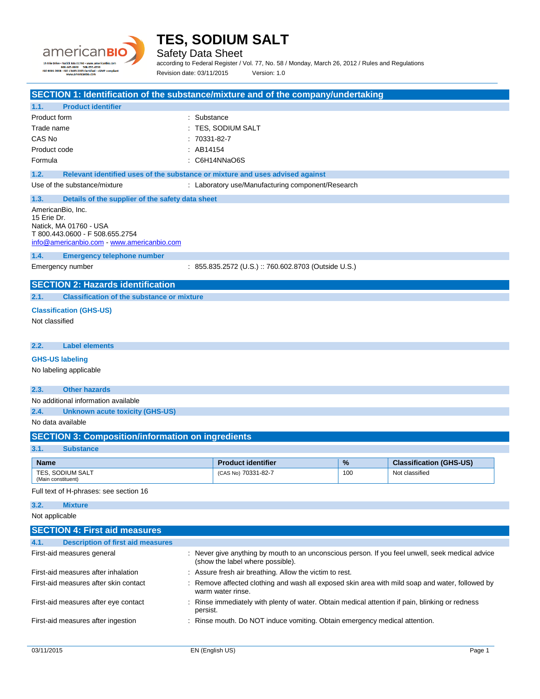

Safety Data Sheet

according to Federal Register / Vol. 77, No. 58 / Monday, March 26, 2012 / Rules and Regulations Revision date: 03/11/2015 Version: 1.0

#### **SECTION 1: Identification of the substance/mixture and of the company/undertaking**

|                    | SECTION 1: Identification of the substance/mixture and of the company/undertaking                                          |                                                      |     |                                |  |  |
|--------------------|----------------------------------------------------------------------------------------------------------------------------|------------------------------------------------------|-----|--------------------------------|--|--|
| 1.1.               | <b>Product identifier</b>                                                                                                  |                                                      |     |                                |  |  |
| Product form       |                                                                                                                            | : Substance                                          |     |                                |  |  |
| Trade name         |                                                                                                                            | TES, SODIUM SALT                                     |     |                                |  |  |
| CAS No             |                                                                                                                            | 70331-82-7                                           |     |                                |  |  |
| Product code       |                                                                                                                            | : AB14154                                            |     |                                |  |  |
| Formula            |                                                                                                                            | : C6H14NNaO6S                                        |     |                                |  |  |
| 1.2.               | Relevant identified uses of the substance or mixture and uses advised against                                              |                                                      |     |                                |  |  |
|                    | Use of the substance/mixture<br>: Laboratory use/Manufacturing component/Research                                          |                                                      |     |                                |  |  |
| 1.3.               | Details of the supplier of the safety data sheet                                                                           |                                                      |     |                                |  |  |
| 15 Erie Dr.        | AmericanBio, Inc.<br>Natick, MA 01760 - USA<br>T 800.443.0600 - F 508.655.2754<br>info@americanbio.com www.americanbio.com |                                                      |     |                                |  |  |
| 1.4.               | <b>Emergency telephone number</b>                                                                                          |                                                      |     |                                |  |  |
|                    | Emergency number                                                                                                           | : 855.835.2572 (U.S.) :: 760.602.8703 (Outside U.S.) |     |                                |  |  |
|                    | <b>SECTION 2: Hazards identification</b>                                                                                   |                                                      |     |                                |  |  |
| 2.1.               | <b>Classification of the substance or mixture</b>                                                                          |                                                      |     |                                |  |  |
| Not classified     | <b>Classification (GHS-US)</b>                                                                                             |                                                      |     |                                |  |  |
| 2.2.               | <b>Label elements</b>                                                                                                      |                                                      |     |                                |  |  |
|                    | <b>GHS-US labeling</b>                                                                                                     |                                                      |     |                                |  |  |
|                    | No labeling applicable                                                                                                     |                                                      |     |                                |  |  |
| 2.3.               | <b>Other hazards</b>                                                                                                       |                                                      |     |                                |  |  |
|                    | No additional information available                                                                                        |                                                      |     |                                |  |  |
| 2.4.               | <b>Unknown acute toxicity (GHS-US)</b>                                                                                     |                                                      |     |                                |  |  |
|                    | No data available                                                                                                          |                                                      |     |                                |  |  |
|                    | <b>SECTION 3: Composition/information on ingredients</b>                                                                   |                                                      |     |                                |  |  |
| 3.1.               | <b>Substance</b>                                                                                                           |                                                      |     |                                |  |  |
| <b>Name</b>        |                                                                                                                            | <b>Product identifier</b>                            | %   | <b>Classification (GHS-US)</b> |  |  |
| (Main constituent) | TES. SODIUM SALT                                                                                                           | (CAS No) 70331-82-7                                  | 100 | Not classified                 |  |  |
|                    | Full text of H-phrases: see section 16                                                                                     |                                                      |     |                                |  |  |
| 3.2.               | <b>Mixture</b>                                                                                                             |                                                      |     |                                |  |  |
|                    |                                                                                                                            |                                                      |     |                                |  |  |

Not applicable

| <b>SECTION 4: First aid measures</b>             |                                                                                                                                      |  |  |
|--------------------------------------------------|--------------------------------------------------------------------------------------------------------------------------------------|--|--|
| <b>Description of first aid measures</b><br>4.1. |                                                                                                                                      |  |  |
| First-aid measures general                       | : Never give anything by mouth to an unconscious person. If you feel unwell, seek medical advice<br>(show the label where possible). |  |  |
| First-aid measures after inhalation              | : Assure fresh air breathing. Allow the victim to rest.                                                                              |  |  |
| First-aid measures after skin contact            | : Remove affected clothing and wash all exposed skin area with mild soap and water, followed by<br>warm water rinse.                 |  |  |
| First-aid measures after eye contact             | : Rinse immediately with plenty of water. Obtain medical attention if pain, blinking or redness<br>persist.                          |  |  |
| First-aid measures after ingestion               | : Rinse mouth. Do NOT induce vomiting. Obtain emergency medical attention.                                                           |  |  |
|                                                  |                                                                                                                                      |  |  |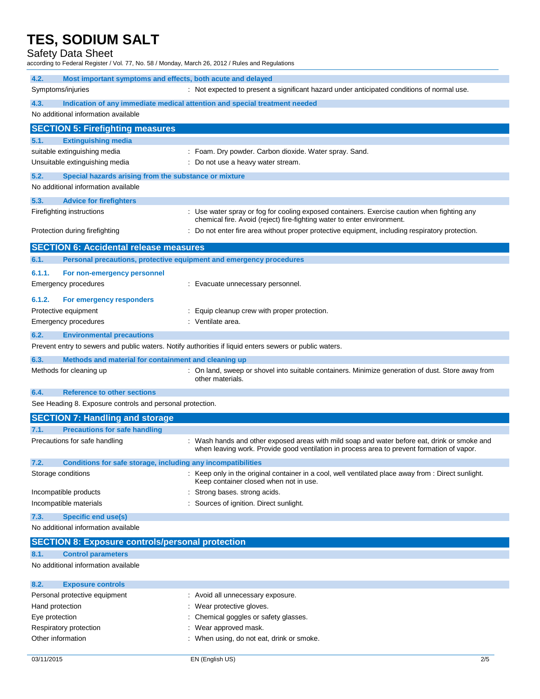Safety Data Sheet

according to Federal Register / Vol. 77, No. 58 / Monday, March 26, 2012 / Rules and Regulations

| 4.2.<br>Most important symptoms and effects, both acute and delayed                                     |                                                                                                                                                                                            |  |  |
|---------------------------------------------------------------------------------------------------------|--------------------------------------------------------------------------------------------------------------------------------------------------------------------------------------------|--|--|
| Symptoms/injuries                                                                                       | : Not expected to present a significant hazard under anticipated conditions of normal use.                                                                                                 |  |  |
| 4.3.<br>Indication of any immediate medical attention and special treatment needed                      |                                                                                                                                                                                            |  |  |
| No additional information available                                                                     |                                                                                                                                                                                            |  |  |
| <b>SECTION 5: Firefighting measures</b>                                                                 |                                                                                                                                                                                            |  |  |
| 5.1.<br><b>Extinguishing media</b>                                                                      |                                                                                                                                                                                            |  |  |
| suitable extinguishing media<br>Unsuitable extinguishing media                                          | : Foam. Dry powder. Carbon dioxide. Water spray. Sand.<br>: Do not use a heavy water stream.                                                                                               |  |  |
| 5.2.<br>Special hazards arising from the substance or mixture                                           |                                                                                                                                                                                            |  |  |
| No additional information available                                                                     |                                                                                                                                                                                            |  |  |
| 5.3.<br><b>Advice for firefighters</b>                                                                  |                                                                                                                                                                                            |  |  |
| Firefighting instructions                                                                               | : Use water spray or fog for cooling exposed containers. Exercise caution when fighting any<br>chemical fire. Avoid (reject) fire-fighting water to enter environment.                     |  |  |
| Protection during firefighting                                                                          | : Do not enter fire area without proper protective equipment, including respiratory protection.                                                                                            |  |  |
| <b>SECTION 6: Accidental release measures</b>                                                           |                                                                                                                                                                                            |  |  |
| Personal precautions, protective equipment and emergency procedures<br>6.1.                             |                                                                                                                                                                                            |  |  |
| 6.1.1.<br>For non-emergency personnel                                                                   |                                                                                                                                                                                            |  |  |
| Emergency procedures                                                                                    | : Evacuate unnecessary personnel.                                                                                                                                                          |  |  |
| 6.1.2.<br>For emergency responders                                                                      |                                                                                                                                                                                            |  |  |
| Protective equipment                                                                                    | Equip cleanup crew with proper protection.                                                                                                                                                 |  |  |
| <b>Emergency procedures</b>                                                                             | : Ventilate area.                                                                                                                                                                          |  |  |
| 6.2.<br><b>Environmental precautions</b>                                                                |                                                                                                                                                                                            |  |  |
| Prevent entry to sewers and public waters. Notify authorities if liquid enters sewers or public waters. |                                                                                                                                                                                            |  |  |
| 6.3.<br>Methods and material for containment and cleaning up                                            |                                                                                                                                                                                            |  |  |
| Methods for cleaning up                                                                                 | : On land, sweep or shovel into suitable containers. Minimize generation of dust. Store away from<br>other materials.                                                                      |  |  |
| <b>Reference to other sections</b><br>6.4.                                                              |                                                                                                                                                                                            |  |  |
| See Heading 8. Exposure controls and personal protection.                                               |                                                                                                                                                                                            |  |  |
| <b>SECTION 7: Handling and storage</b>                                                                  |                                                                                                                                                                                            |  |  |
| 7.1.<br><b>Precautions for safe handling</b>                                                            |                                                                                                                                                                                            |  |  |
| Precautions for safe handling                                                                           | : Wash hands and other exposed areas with mild soap and water before eat, drink or smoke and<br>when leaving work. Provide good ventilation in process area to prevent formation of vapor. |  |  |
| 7.2.<br>Conditions for safe storage, including any incompatibilities                                    |                                                                                                                                                                                            |  |  |
| Storage conditions                                                                                      | : Keep only in the original container in a cool, well ventilated place away from : Direct sunlight.<br>Keep container closed when not in use.                                              |  |  |
| Incompatible products                                                                                   | Strong bases. strong acids.                                                                                                                                                                |  |  |
| Incompatible materials                                                                                  | Sources of ignition. Direct sunlight.                                                                                                                                                      |  |  |
| 7.3.<br><b>Specific end use(s)</b><br>No additional information available                               |                                                                                                                                                                                            |  |  |
| <b>SECTION 8: Exposure controls/personal protection</b>                                                 |                                                                                                                                                                                            |  |  |
| 8.1.<br><b>Control parameters</b>                                                                       |                                                                                                                                                                                            |  |  |
| No additional information available                                                                     |                                                                                                                                                                                            |  |  |
| 8.2.<br><b>Exposure controls</b>                                                                        |                                                                                                                                                                                            |  |  |
| Personal protective equipment                                                                           | : Avoid all unnecessary exposure.                                                                                                                                                          |  |  |
| Hand protection                                                                                         | Wear protective gloves.                                                                                                                                                                    |  |  |
| Eye protection                                                                                          | Chemical goggles or safety glasses.                                                                                                                                                        |  |  |
| Respiratory protection<br>Other information                                                             | Wear approved mask.<br>When using, do not eat, drink or smoke.                                                                                                                             |  |  |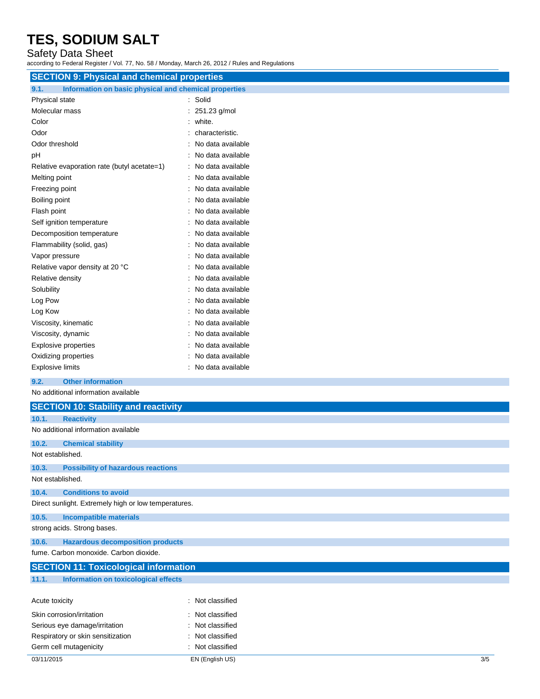### Safety Data Sheet

according to Federal Register / Vol. 77, No. 58 / Monday, March 26, 2012 / Rules and Regulations

| <b>SECTION 9: Physical and chemical properties</b>                    |                     |
|-----------------------------------------------------------------------|---------------------|
| Information on basic physical and chemical properties<br>9.1.         |                     |
| Physical state                                                        | : Solid             |
| Molecular mass                                                        | : 251.23 g/mol      |
| Color                                                                 | white.              |
| Odor                                                                  | characteristic.     |
| Odor threshold                                                        | No data available   |
| pH                                                                    | No data available   |
| Relative evaporation rate (butyl acetate=1)                           | No data available   |
| Melting point                                                         | No data available   |
| Freezing point                                                        | No data available   |
| Boiling point                                                         | No data available   |
| Flash point                                                           | No data available   |
| Self ignition temperature                                             | No data available   |
| Decomposition temperature                                             | No data available   |
| Flammability (solid, gas)                                             | No data available   |
| Vapor pressure                                                        | : No data available |
| Relative vapor density at 20 °C                                       | No data available   |
| Relative density                                                      | No data available   |
| Solubility                                                            | No data available   |
| Log Pow                                                               | No data available   |
| Log Kow                                                               | No data available   |
| Viscosity, kinematic                                                  | No data available   |
| Viscosity, dynamic                                                    | No data available   |
| <b>Explosive properties</b>                                           | No data available   |
| Oxidizing properties                                                  | No data available   |
| <b>Explosive limits</b>                                               | No data available   |
| 9.2.<br><b>Other information</b>                                      |                     |
| No additional information available                                   |                     |
| <b>SECTION 10: Stability and reactivity</b>                           |                     |
| 10.1.<br><b>Reactivity</b>                                            |                     |
| No additional information available                                   |                     |
| 10.2.<br><b>Chemical stability</b>                                    |                     |
| Not established.                                                      |                     |
| <b>Possibility of hazardous reactions</b><br>10.3.                    |                     |
| Not established.                                                      |                     |
| <b>Conditions to avoid</b><br>10.4.                                   |                     |
| Direct sunlight. Extremely high or low temperatures.                  |                     |
|                                                                       |                     |
| 10.5.<br><b>Incompatible materials</b><br>strong acids. Strong bases. |                     |
|                                                                       |                     |
| <b>Hazardous decomposition products</b><br>10.6.                      |                     |
| fume. Carbon monoxide. Carbon dioxide.                                |                     |
| <b>SECTION 11: Toxicological information</b>                          |                     |
| <b>Information on toxicological effects</b><br>11.1.                  |                     |
|                                                                       |                     |
| Acute toxicity                                                        | : Not classified    |

| <b>ACULC LUAILITY</b>             | . TVUL UIQOOIIIGU |
|-----------------------------------|-------------------|
| Skin corrosion/irritation         | : Not classified  |
| Serious eye damage/irritation     | : Not classified  |
| Respiratory or skin sensitization | : Not classified  |
| Germ cell mutagenicity            | : Not classified  |
|                                   |                   |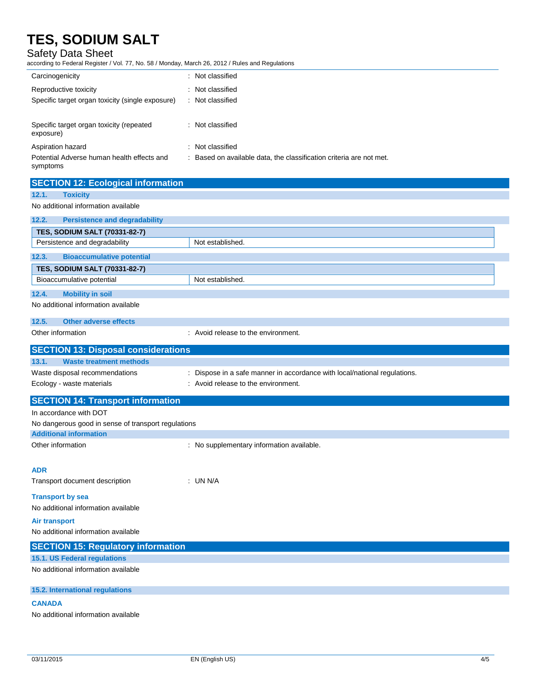### Safety Data Sheet

according to Federal Register / Vol. 77, No. 58 / Monday, March 26, 2012 / Rules and Regulations

| Carcinogenicity                                                     | : Not classified                                                          |
|---------------------------------------------------------------------|---------------------------------------------------------------------------|
| Reproductive toxicity                                               | : Not classified                                                          |
| Specific target organ toxicity (single exposure)                    | : Not classified                                                          |
|                                                                     |                                                                           |
| Specific target organ toxicity (repeated                            | : Not classified                                                          |
| exposure)                                                           |                                                                           |
| Aspiration hazard                                                   | : Not classified                                                          |
| Potential Adverse human health effects and                          | : Based on available data, the classification criteria are not met.       |
| symptoms                                                            |                                                                           |
| <b>SECTION 12: Ecological information</b>                           |                                                                           |
| 12.1.<br><b>Toxicity</b>                                            |                                                                           |
| No additional information available                                 |                                                                           |
| 12.2.<br><b>Persistence and degradability</b>                       |                                                                           |
| <b>TES, SODIUM SALT (70331-82-7)</b>                                |                                                                           |
| Persistence and degradability                                       | Not established.                                                          |
| 12.3.<br><b>Bioaccumulative potential</b>                           |                                                                           |
|                                                                     |                                                                           |
| <b>TES, SODIUM SALT (70331-82-7)</b><br>Bioaccumulative potential   | Not established.                                                          |
|                                                                     |                                                                           |
| <b>Mobility in soil</b><br>12.4.                                    |                                                                           |
| No additional information available                                 |                                                                           |
| 12.5.<br><b>Other adverse effects</b>                               |                                                                           |
| Other information                                                   | : Avoid release to the environment.                                       |
|                                                                     |                                                                           |
|                                                                     |                                                                           |
| <b>SECTION 13: Disposal considerations</b>                          |                                                                           |
| 13.1.<br><b>Waste treatment methods</b>                             |                                                                           |
| Waste disposal recommendations                                      | : Dispose in a safe manner in accordance with local/national regulations. |
| Ecology - waste materials                                           | : Avoid release to the environment.                                       |
| <b>SECTION 14: Transport information</b>                            |                                                                           |
| In accordance with DOT                                              |                                                                           |
| No dangerous good in sense of transport regulations                 |                                                                           |
| <b>Additional information</b>                                       |                                                                           |
| Other information                                                   | : No supplementary information available.                                 |
|                                                                     |                                                                           |
| <b>ADR</b>                                                          |                                                                           |
| Transport document description                                      | : UN N/A                                                                  |
| <b>Transport by sea</b>                                             |                                                                           |
| No additional information available                                 |                                                                           |
| <b>Air transport</b>                                                |                                                                           |
| No additional information available                                 |                                                                           |
|                                                                     |                                                                           |
| <b>SECTION 15: Regulatory information</b>                           |                                                                           |
| 15.1. US Federal regulations<br>No additional information available |                                                                           |
|                                                                     |                                                                           |
| 15.2. International regulations                                     |                                                                           |
| <b>CANADA</b>                                                       |                                                                           |

No additional information available